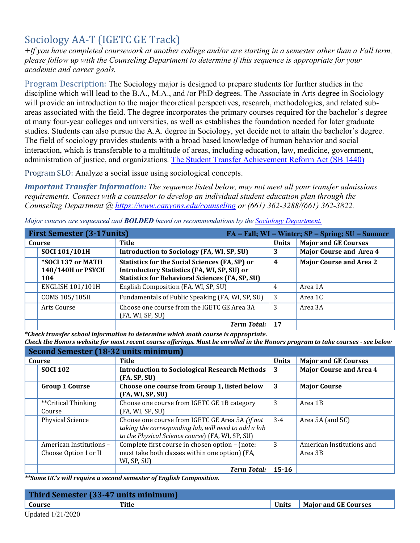## Sociology AA-T (IGETC GE Track)

*+If you have completed coursework at another college and/or are starting in a semester other than a Fall term, please follow up with the Counseling Department to determine if this sequence is appropriate for your academic and career goals.* 

Program Description: The Sociology major is designed to prepare students for further studies in the discipline which will lead to the B.A., M.A., and /or PhD degrees. The Associate in Arts degree in Sociology will provide an introduction to the major theoretical perspectives, research, methodologies, and related subareas associated with the field. The degree incorporates the primary courses required for the bachelor's degree at many four-year colleges and universities, as well as establishes the foundation needed for later graduate studies. Students can also pursue the A.A. degree in Sociology, yet decide not to attain the bachelor's degree. The field of sociology provides students with a broad based knowledge of human behavior and social interaction, which is transferable to a multitude of areas, including education, law, medicine, government, administration of justice, and organizations. [The Student Transfer Achievement Reform Act \(SB 1440\)](https://www2.calstate.edu/apply/transfer/Pages/ccc-associate-degree-for-transfer.aspx) 

Program SLO: Analyze a social issue using sociological concepts.

*Important Transfer Information: The sequence listed below, may not meet all your transfer admissions requirements. Connect with a counselor to develop an individual student education plan through the Counseling Department @<https://www.canyons.edu/counseling>or (661) 362-3288/(661) 362-3822.* 

| <b>First Semester (3-17units)</b>      |                                                                                                             |              | $FA = Fall; WI = Winter; SP = Spring; SU = Summer$ |
|----------------------------------------|-------------------------------------------------------------------------------------------------------------|--------------|----------------------------------------------------|
| Course                                 | Title                                                                                                       | <b>Units</b> | <b>Major and GE Courses</b>                        |
| SOCI 101/101H                          | Introduction to Sociology (FA, WI, SP, SU)                                                                  | 3            | <b>Major Course and Area 4</b>                     |
| *SOCI 137 or MATH<br>140/140H or PSYCH | <b>Statistics for the Social Sciences (FA, SP) or</b><br><b>Introductory Statistics (FA, WI, SP, SU) or</b> | 4            | <b>Major Course and Area 2</b>                     |
| 104                                    | <b>Statistics for Behavioral Sciences (FA, SP, SU)</b>                                                      |              |                                                    |
| <b>ENGLISH 101/101H</b>                | English Composition (FA, WI, SP, SU)                                                                        | 4            | Area 1A                                            |
| COMS 105/105H                          | Fundamentals of Public Speaking (FA, WI, SP, SU)                                                            | 3            | Area 1C                                            |
| Arts Course                            | Choose one course from the IGETC GE Area 3A<br>(FA, WI, SP, SU)                                             | 3            | Area 3A                                            |
|                                        | <b>Term Total:</b>                                                                                          | 17           |                                                    |

*Major courses are sequenced and BOLDED based on recommendations by the [Sociology Department.](https://www.canyons.edu/academics/sociology/index.php)* 

 *\*Check transfer school information to determine which math course is appropriate.* 

*Check the Honors website for most recent course offerings. Must be enrolled in the Honors program to take courses - see below* 

| Second Semester (18-32 units minimum) |                         |                                                                                                                                                             |              |                                      |
|---------------------------------------|-------------------------|-------------------------------------------------------------------------------------------------------------------------------------------------------------|--------------|--------------------------------------|
| Course                                |                         | <b>Title</b>                                                                                                                                                | <b>Units</b> | <b>Major and GE Courses</b>          |
| <b>SOCI 102</b>                       |                         | <b>Introduction to Sociological Research Methods</b><br>(FA, SP, SU)                                                                                        | 3            | <b>Major Course and Area 4</b>       |
| <b>Group 1 Course</b>                 |                         | Choose one course from Group 1, listed below<br>(FA, WI, SP, SU)                                                                                            | 3            | <b>Major Course</b>                  |
| **Critical Thinking<br>Course         |                         | Choose one course from IGETC GE 1B category<br>(FA, WI, SP, SU)                                                                                             | 3            | Area 1B                              |
| <b>Physical Science</b>               |                         | Choose one course from IGETC GE Area 5A (if not<br>taking the corresponding lab, will need to add a lab<br>to the Physical Science course) (FA, WI, SP, SU) | $3-4$        | Area $5A$ (and $5C$ )                |
| Choose Option I or II                 | American Institutions - | Complete first course in chosen option - (note:<br>must take both classes within one option) (FA,<br>WI, SP, SU)                                            | 3            | American Institutions and<br>Area 3B |
|                                       |                         | <b>Term Total:</b>                                                                                                                                          | $15 - 16$    |                                      |

 *\*\*Some UC's will require a second semester of English Composition.* 

| Third Semester (33-47 units minimum) |       |  |                              |
|--------------------------------------|-------|--|------------------------------|
| Course                               | Title |  | Units   Major and GE Courses |
| 77.1.1101 (0.000)                    |       |  |                              |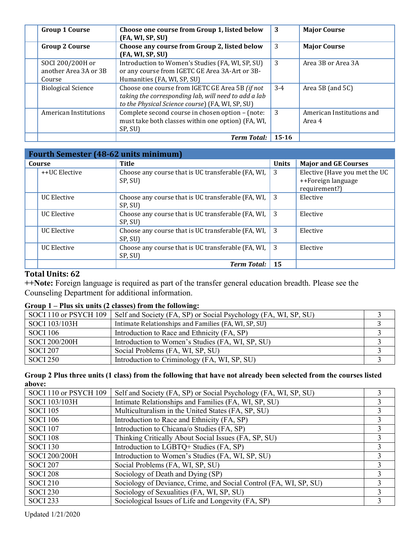| <b>Group 1 Course</b>                               | Choose one course from Group 1, listed below<br>(FA, WI, SP, SU)                                                                                            | 3         | <b>Major Course</b>                 |
|-----------------------------------------------------|-------------------------------------------------------------------------------------------------------------------------------------------------------------|-----------|-------------------------------------|
| <b>Group 2 Course</b>                               | Choose any course from Group 2, listed below<br>(FA, WI, SP, SU)                                                                                            | 3         | <b>Major Course</b>                 |
| SOCI 200/200H or<br>another Area 3A or 3B<br>Course | Introduction to Women's Studies (FA, WI, SP, SU)<br>or any course from IGETC GE Area 3A-Art or 3B-<br>Humanities (FA, WI, SP, SU)                           | 3         | Area 3B or Area 3A                  |
| <b>Biological Science</b>                           | Choose one course from IGETC GE Area 5B (if not<br>taking the corresponding lab, will need to add a lab<br>to the Physical Science course) (FA, WI, SP, SU) | $3-4$     | Area 5B (and $5C$ )                 |
| American Institutions                               | Complete second course in chosen option - (note:<br>must take both classes within one option) (FA, WI,<br>SP, SU)                                           | 3         | American Institutions and<br>Area 4 |
|                                                     | <b>Term Total:</b>                                                                                                                                          | $15 - 16$ |                                     |

| <b>Fourth Semester (48-62 units minimum)</b> |                                                               |              |                                                                      |  |
|----------------------------------------------|---------------------------------------------------------------|--------------|----------------------------------------------------------------------|--|
| Course                                       | Title                                                         | <b>Units</b> | <b>Major and GE Courses</b>                                          |  |
| ++UC Elective                                | Choose any course that is UC transferable (FA, WI,<br>SP, SU) | 3            | Elective (Have you met the UC<br>++Foreign language<br>requirement?) |  |
| <b>UC</b> Elective                           | Choose any course that is UC transferable (FA, WI,<br>SP, SU) | -3           | Elective                                                             |  |
| <b>UC</b> Elective                           | Choose any course that is UC transferable (FA, WI,<br>SP, SU) | -3           | Elective                                                             |  |
| <b>UC</b> Elective                           | Choose any course that is UC transferable (FA, WI,<br>SP, SU) | 3            | Elective                                                             |  |
| UC Elective                                  | Choose any course that is UC transferable (FA, WI,<br>SP, SU) | -3           | Elective                                                             |  |
|                                              | <b>Term Total:</b>                                            | 15           |                                                                      |  |

## **Total Units: 62**

**++Note:** Foreign language is required as part of the transfer general education breadth. Please see the Counseling Department for additional information.

## **Group 1 – Plus six units (2 classes) from the following:**

| SOCI 110 or PSYCH 109 | Self and Society (FA, SP) or Social Psychology (FA, WI, SP, SU) |  |
|-----------------------|-----------------------------------------------------------------|--|
| SOCI 103/103H         | Intimate Relationships and Families (FA, WI, SP, SU)            |  |
| SOCI 106              | Introduction to Race and Ethnicity (FA, SP)                     |  |
| SOCI 200/200H         | Introduction to Women's Studies (FA, WI, SP, SU)                |  |
| <b>SOCI 207</b>       | Social Problems (FA, WI, SP, SU)                                |  |
| <b>SOCI 250</b>       | Introduction to Criminology (FA, WI, SP, SU)                    |  |

## **Group 2 Plus three units (1 class) from the following that have not already been selected from the courses listed above:**

| SOCI 110 or PSYCH 109 | Self and Society (FA, SP) or Social Psychology (FA, WI, SP, SU)   |  |
|-----------------------|-------------------------------------------------------------------|--|
| SOCI 103/103H         | Intimate Relationships and Families (FA, WI, SP, SU)              |  |
| <b>SOCI 105</b>       | Multiculturalism in the United States (FA, SP, SU)                |  |
| <b>SOCI 106</b>       | Introduction to Race and Ethnicity (FA, SP)                       |  |
| <b>SOCI 107</b>       | Introduction to Chicana/o Studies (FA, SP)                        |  |
| <b>SOCI 108</b>       | Thinking Critically About Social Issues (FA, SP, SU)              |  |
| <b>SOCI 130</b>       | Introduction to LGBTQ+ Studies (FA, SP)                           |  |
| SOCI 200/200H         | Introduction to Women's Studies (FA, WI, SP, SU)                  |  |
| <b>SOCI 207</b>       | Social Problems (FA, WI, SP, SU)                                  |  |
| <b>SOCI 208</b>       | Sociology of Death and Dying (SP)                                 |  |
| <b>SOCI 210</b>       | Sociology of Deviance, Crime, and Social Control (FA, WI, SP, SU) |  |
| <b>SOCI 230</b>       | Sociology of Sexualities (FA, WI, SP, SU)                         |  |
| <b>SOCI 233</b>       | Sociological Issues of Life and Longevity (FA, SP)                |  |